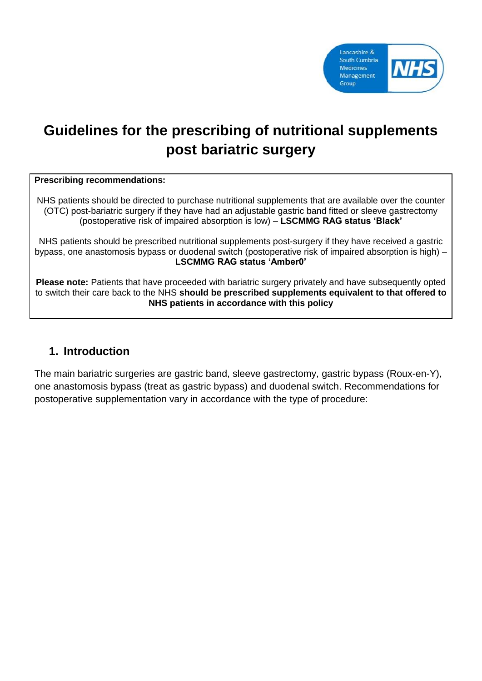

# **Guidelines for the prescribing of nutritional supplements post bariatric surgery**

#### **Prescribing recommendations:**

NHS patients should be directed to purchase nutritional supplements that are available over the counter (OTC) post-bariatric surgery if they have had an adjustable gastric band fitted or sleeve gastrectomy (postoperative risk of impaired absorption is low) – **LSCMMG RAG status 'Black'**

NHS patients should be prescribed nutritional supplements post-surgery if they have received a gastric bypass, one anastomosis bypass or duodenal switch (postoperative risk of impaired absorption is high) – **LSCMMG RAG status 'Amber0'**

**Please note:** Patients that have proceeded with bariatric surgery privately and have subsequently opted to switch their care back to the NHS **should be prescribed supplements equivalent to that offered to NHS patients in accordance with this policy**

#### **1. Introduction**

The main bariatric surgeries are gastric band, sleeve gastrectomy, gastric bypass (Roux-en-Y), one anastomosis bypass (treat as gastric bypass) and duodenal switch. Recommendations for postoperative supplementation vary in accordance with the type of procedure: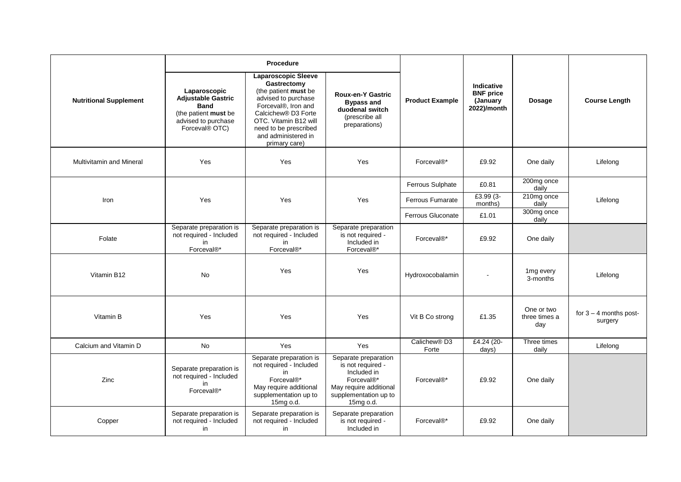|                                 | <b>Procedure</b>                                                                                                          |                                                                                                                                                                                                                                       |                                                                                                                                        |                                   |                                                            |                                    |                                     |
|---------------------------------|---------------------------------------------------------------------------------------------------------------------------|---------------------------------------------------------------------------------------------------------------------------------------------------------------------------------------------------------------------------------------|----------------------------------------------------------------------------------------------------------------------------------------|-----------------------------------|------------------------------------------------------------|------------------------------------|-------------------------------------|
| <b>Nutritional Supplement</b>   | Laparoscopic<br><b>Adjustable Gastric</b><br><b>Band</b><br>(the patient must be<br>advised to purchase<br>Forceval® OTC) | Laparoscopic Sleeve<br>Gastrectomy<br>(the patient must be<br>advised to purchase<br>Forceval®, Iron and<br>Calcichew <sup>®</sup> D3 Forte<br>OTC. Vitamin B12 will<br>need to be prescribed<br>and administered in<br>primary care) | <b>Roux-en-Y Gastric</b><br><b>Bypass and</b><br>duodenal switch<br>(prescribe all<br>preparations)                                    | <b>Product Example</b>            | Indicative<br><b>BNF</b> price<br>(January)<br>2022)/month | <b>Dosage</b>                      | <b>Course Length</b>                |
| <b>Multivitamin and Mineral</b> | Yes                                                                                                                       | Yes                                                                                                                                                                                                                                   | Yes                                                                                                                                    | Forceval <sup>®*</sup>            | £9.92                                                      | One daily                          | Lifelong                            |
|                                 |                                                                                                                           |                                                                                                                                                                                                                                       |                                                                                                                                        | Ferrous Sulphate                  | £0.81                                                      | 200mg once<br>daily                |                                     |
| Iron                            | Yes                                                                                                                       | Yes                                                                                                                                                                                                                                   | Yes                                                                                                                                    | Ferrous Fumarate                  | £3.99 (3-<br>months)                                       | 210mg once<br>daily                | Lifelong                            |
|                                 |                                                                                                                           |                                                                                                                                                                                                                                       |                                                                                                                                        | Ferrous Gluconate                 | £1.01                                                      | 300mg once<br>daily                |                                     |
| Folate                          | Separate preparation is<br>not required - Included<br>in<br>Forceval®*                                                    | Separate preparation is<br>not required - Included<br>in<br>Forceval®*                                                                                                                                                                | Separate preparation<br>is not required -<br>Included in<br>Forceval <sup>®*</sup>                                                     | Forceval <sup>®*</sup>            | £9.92                                                      | One daily                          |                                     |
| Vitamin B12                     | No                                                                                                                        | Yes                                                                                                                                                                                                                                   | Yes                                                                                                                                    | Hydroxocobalamin                  | $\blacksquare$                                             | 1 <sub>mg</sub> every<br>3-months  | Lifelong                            |
| Vitamin B                       | Yes                                                                                                                       | Yes                                                                                                                                                                                                                                   | Yes                                                                                                                                    | Vit B Co strong                   | £1.35                                                      | One or two<br>three times a<br>day | for $3 - 4$ months post-<br>surgery |
| Calcium and Vitamin D           | No                                                                                                                        | Yes                                                                                                                                                                                                                                   | Yes                                                                                                                                    | Calichew <sup>®</sup> D3<br>Forte | £4.24 (20-<br>days)                                        | Three times<br>daily               | Lifelong                            |
| Zinc                            | Separate preparation is<br>not required - Included<br>in<br>Forceval®*                                                    | Separate preparation is<br>not required - Included<br>in<br>Forceval®*<br>May require additional<br>supplementation up to<br>15mg o.d.                                                                                                | Separate preparation<br>is not required -<br>Included in<br>Forceval®*<br>May require additional<br>supplementation up to<br>15mg o.d. | Forceval <sup>®*</sup>            | £9.92                                                      | One daily                          |                                     |
| Copper                          | Separate preparation is<br>not required - Included<br>in                                                                  | Separate preparation is<br>not required - Included<br>in                                                                                                                                                                              | Separate preparation<br>is not required -<br>Included in                                                                               | Forceval <sup>®*</sup>            | £9.92                                                      | One daily                          |                                     |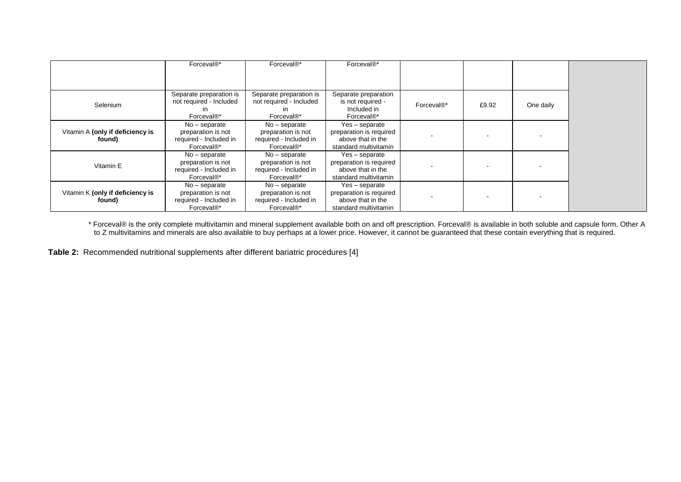|                                            | Forceval <sup>®*</sup>                                                                    | Forceval <sup>®*</sup>                                                                    | Forceval <sup>®*</sup>                                                                  |                        |       |           |
|--------------------------------------------|-------------------------------------------------------------------------------------------|-------------------------------------------------------------------------------------------|-----------------------------------------------------------------------------------------|------------------------|-------|-----------|
|                                            |                                                                                           |                                                                                           |                                                                                         |                        |       |           |
| Selenium                                   | Separate preparation is<br>not required - Included<br>in<br>Forceval <sup>®*</sup>        | Separate preparation is<br>not required - Included<br>in<br>Forceval <sup>®*</sup>        | Separate preparation<br>is not required -<br>Included in<br>Forceval <sup>®*</sup>      | Forceval <sup>®*</sup> | £9.92 | One daily |
| Vitamin A (only if deficiency is<br>found) | $No - separate$<br>preparation is not<br>required - Included in<br>Forceval <sup>®*</sup> | $No - separate$<br>preparation is not<br>required - Included in<br>Forceval <sup>®*</sup> | Yes - separate<br>preparation is required<br>above that in the<br>standard multivitamin |                        |       |           |
| Vitamin E                                  | $No - separate$<br>preparation is not<br>required - Included in<br>Forceval <sup>®*</sup> | $No - separate$<br>preparation is not<br>required - Included in<br>Forceval <sup>®*</sup> | Yes - separate<br>preparation is required<br>above that in the<br>standard multivitamin |                        |       |           |
| Vitamin K (only if deficiency is<br>found) | $No - separate$<br>preparation is not<br>required - Included in<br>Forceval <sup>®*</sup> | $No - separate$<br>preparation is not<br>required - Included in<br>Forceval <sup>®*</sup> | Yes - separate<br>preparation is required<br>above that in the<br>standard multivitamin |                        |       |           |

\* Forceval® is the only complete multivitamin and mineral supplement available both on and off prescription. Forceval® is available in both soluble and capsule form. Other A to Z multivitamins and minerals are also available to buy perhaps at a lower price. However, it cannot be guaranteed that these contain everything that is required.

**Table 2:** Recommended nutritional supplements after different bariatric procedures [4]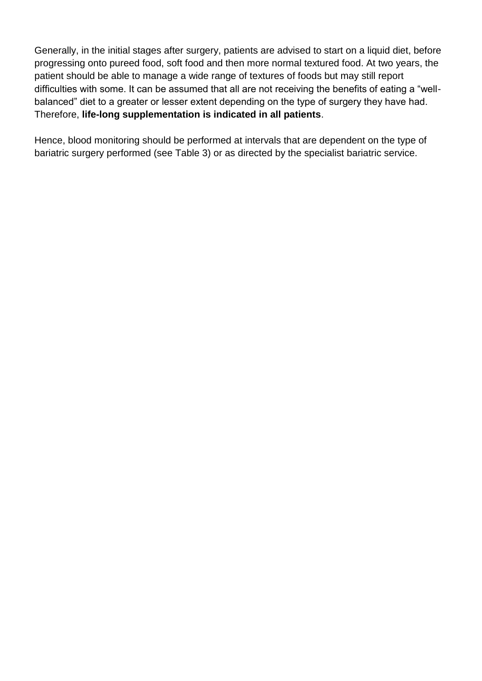Generally, in the initial stages after surgery, patients are advised to start on a liquid diet, before progressing onto pureed food, soft food and then more normal textured food. At two years, the patient should be able to manage a wide range of textures of foods but may still report difficulties with some. It can be assumed that all are not receiving the benefits of eating a "wellbalanced" diet to a greater or lesser extent depending on the type of surgery they have had. Therefore, **life-long supplementation is indicated in all patients**.

Hence, blood monitoring should be performed at intervals that are dependent on the type of bariatric surgery performed (see Table 3) or as directed by the specialist bariatric service.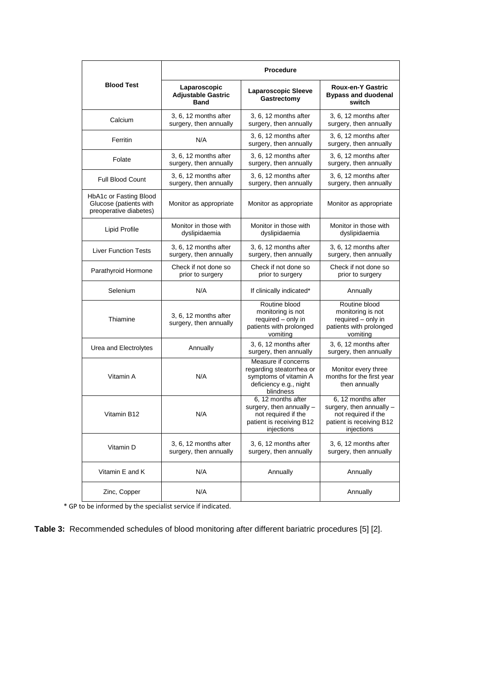|                                                                            | <b>Procedure</b>                                         |                                                                                                                 |                                                                                                                 |  |  |  |
|----------------------------------------------------------------------------|----------------------------------------------------------|-----------------------------------------------------------------------------------------------------------------|-----------------------------------------------------------------------------------------------------------------|--|--|--|
| <b>Blood Test</b>                                                          | Laparoscopic<br><b>Adjustable Gastric</b><br><b>Band</b> | <b>Laparoscopic Sleeve</b><br>Gastrectomy                                                                       | <b>Roux-en-Y Gastric</b><br><b>Bypass and duodenal</b><br>switch                                                |  |  |  |
| Calcium                                                                    | 3, 6, 12 months after<br>surgery, then annually          | 3, 6, 12 months after<br>surgery, then annually                                                                 | 3, 6, 12 months after<br>surgery, then annually                                                                 |  |  |  |
| Ferritin                                                                   | N/A                                                      | 3, 6, 12 months after<br>surgery, then annually                                                                 | 3, 6, 12 months after<br>surgery, then annually                                                                 |  |  |  |
| Folate                                                                     | 3, 6, 12 months after<br>surgery, then annually          | 3.6.12 months after<br>surgery, then annually                                                                   | 3, 6, 12 months after<br>surgery, then annually                                                                 |  |  |  |
| <b>Full Blood Count</b>                                                    | 3, 6, 12 months after<br>surgery, then annually          | 3.6.12 months after<br>surgery, then annually                                                                   | 3, 6, 12 months after<br>surgery, then annually                                                                 |  |  |  |
| HbA1c or Fasting Blood<br>Glucose (patients with<br>preoperative diabetes) | Monitor as appropriate                                   | Monitor as appropriate                                                                                          | Monitor as appropriate                                                                                          |  |  |  |
| Lipid Profile                                                              | Monitor in those with<br>dyslipidaemia                   | Monitor in those with<br>dyslipidaemia                                                                          | Monitor in those with<br>dyslipidaemia                                                                          |  |  |  |
| <b>Liver Function Tests</b>                                                | 3, 6, 12 months after<br>surgery, then annually          | 3, 6, 12 months after<br>surgery, then annually                                                                 | 3, 6, 12 months after<br>surgery, then annually                                                                 |  |  |  |
| Parathyroid Hormone                                                        | Check if not done so<br>prior to surgery                 | Check if not done so<br>prior to surgery                                                                        | Check if not done so<br>prior to surgery                                                                        |  |  |  |
| Selenium                                                                   | N/A                                                      | If clinically indicated*                                                                                        | Annually                                                                                                        |  |  |  |
| Thiamine                                                                   | 3, 6, 12 months after<br>surgery, then annually          | Routine blood<br>monitoring is not<br>required - only in<br>patients with prolonged<br>vomiting                 | Routine blood<br>monitoring is not<br>required - only in<br>patients with prolonged<br>vomiting                 |  |  |  |
| Urea and Electrolytes                                                      | Annually                                                 | 3, 6, 12 months after<br>surgery, then annually                                                                 | 3, 6, 12 months after<br>surgery, then annually                                                                 |  |  |  |
| Vitamin A                                                                  | N/A                                                      | Measure if concerns<br>regarding steatorrhea or<br>symptoms of vitamin A<br>deficiency e.g., night<br>blindness | Monitor every three<br>months for the first year<br>then annually                                               |  |  |  |
| Vitamin B12                                                                | N/A                                                      | 6, 12 months after<br>surgery, then annually -<br>not required if the<br>patient is receiving B12<br>injections | 6, 12 months after<br>surgery, then annually -<br>not required if the<br>patient is receiving B12<br>injections |  |  |  |
| Vitamin D                                                                  | 3, 6, 12 months after<br>surgery, then annually          | 3.6.12 months after<br>surgery, then annually                                                                   | 3, 6, 12 months after<br>surgery, then annually                                                                 |  |  |  |
| Vitamin E and K                                                            | N/A                                                      | Annually                                                                                                        | Annually                                                                                                        |  |  |  |
| Zinc, Copper                                                               | N/A                                                      |                                                                                                                 | Annually                                                                                                        |  |  |  |

\* GP to be informed by the specialist service if indicated.

**Table 3:** Recommended schedules of blood monitoring after different bariatric procedures [5] [2].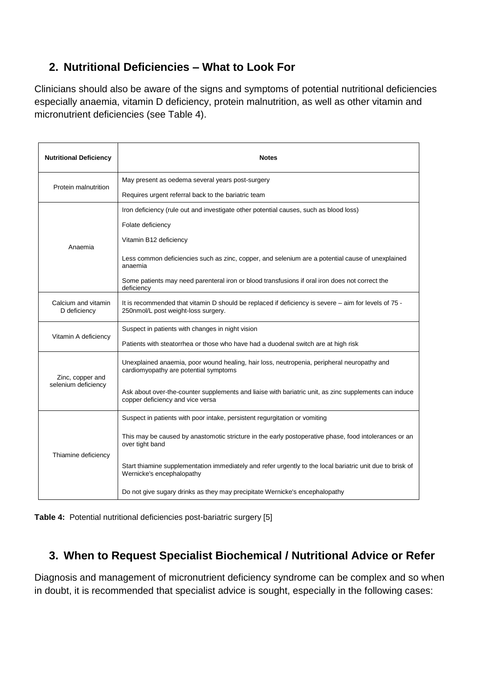## **2. Nutritional Deficiencies – What to Look For**

Clinicians should also be aware of the signs and symptoms of potential nutritional deficiencies especially anaemia, vitamin D deficiency, protein malnutrition, as well as other vitamin and micronutrient deficiencies (see Table 4).

| <b>Nutritional Deficiency</b>       | <b>Notes</b>                                                                                                                                |  |  |
|-------------------------------------|---------------------------------------------------------------------------------------------------------------------------------------------|--|--|
| Protein malnutrition                | May present as oedema several years post-surgery                                                                                            |  |  |
|                                     | Requires urgent referral back to the bariatric team                                                                                         |  |  |
|                                     | Iron deficiency (rule out and investigate other potential causes, such as blood loss)                                                       |  |  |
|                                     | Folate deficiency                                                                                                                           |  |  |
| Anaemia                             | Vitamin B12 deficiency                                                                                                                      |  |  |
|                                     | Less common deficiencies such as zinc, copper, and selenium are a potential cause of unexplained<br>anaemia                                 |  |  |
|                                     | Some patients may need parenteral iron or blood transfusions if oral iron does not correct the<br>deficiency                                |  |  |
| Calcium and vitamin<br>D deficiency | It is recommended that vitamin D should be replaced if deficiency is severe – aim for levels of 75 -<br>250nmol/L post weight-loss surgery. |  |  |
| Vitamin A deficiency                | Suspect in patients with changes in night vision                                                                                            |  |  |
|                                     | Patients with steatorrhea or those who have had a duodenal switch are at high risk                                                          |  |  |
| Zinc, copper and                    | Unexplained anaemia, poor wound healing, hair loss, neutropenia, peripheral neuropathy and<br>cardiomyopathy are potential symptoms         |  |  |
| selenium deficiency                 | Ask about over-the-counter supplements and liaise with bariatric unit, as zinc supplements can induce<br>copper deficiency and vice versa   |  |  |
| Thiamine deficiency                 | Suspect in patients with poor intake, persistent regurgitation or vomiting                                                                  |  |  |
|                                     | This may be caused by anastomotic stricture in the early postoperative phase, food intolerances or an<br>over tight band                    |  |  |
|                                     | Start thiamine supplementation immediately and refer urgently to the local bariatric unit due to brisk of<br>Wernicke's encephalopathy      |  |  |
|                                     | Do not give sugary drinks as they may precipitate Wernicke's encephalopathy                                                                 |  |  |



### **3. When to Request Specialist Biochemical / Nutritional Advice or Refer**

Diagnosis and management of micronutrient deficiency syndrome can be complex and so when in doubt, it is recommended that specialist advice is sought, especially in the following cases: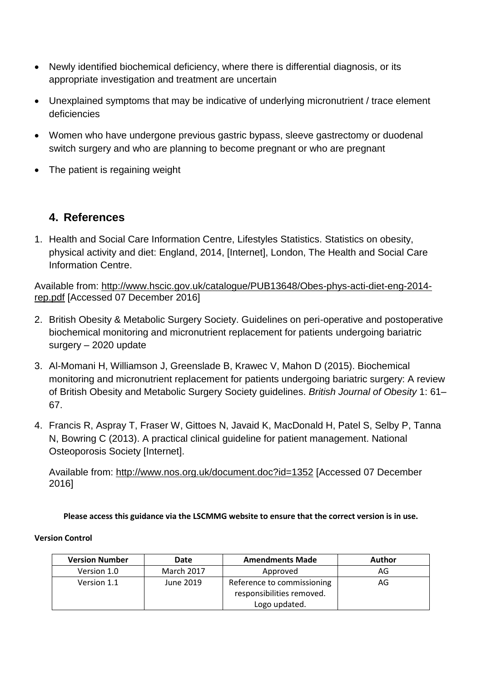- Newly identified biochemical deficiency, where there is differential diagnosis, or its appropriate investigation and treatment are uncertain
- Unexplained symptoms that may be indicative of underlying micronutrient / trace element deficiencies
- Women who have undergone previous gastric bypass, sleeve gastrectomy or duodenal switch surgery and who are planning to become pregnant or who are pregnant
- The patient is regaining weight

### **4. References**

1. Health and Social Care Information Centre, Lifestyles Statistics. Statistics on obesity, physical activity and diet: England, 2014, [Internet], London, The Health and Social Care Information Centre.

Available from: [http://www.hscic.gov.uk/catalogue/PUB13648/Obes-phys-acti-diet-eng-2014](http://www.hscic.gov.uk/catalogue/PUB13648/Obes-phys-acti-diet-eng-2014-rep.pdf) [rep.pdf](http://www.hscic.gov.uk/catalogue/PUB13648/Obes-phys-acti-diet-eng-2014-rep.pdf) [Accessed 07 December 2016]

- 2. British Obesity & Metabolic Surgery Society. Guidelines on peri-operative and postoperative biochemical monitoring and micronutrient replacement for patients undergoing bariatric surgery – 2020 update
- 3. Al-Momani H, Williamson J, Greenslade B, Krawec V, Mahon D (2015). Biochemical monitoring and micronutrient replacement for patients undergoing bariatric surgery: A review of British Obesity and Metabolic Surgery Society guidelines. *British Journal of Obesity* 1: 61– 67.
- 4. Francis R, Aspray T, Fraser W, Gittoes N, Javaid K, MacDonald H, Patel S, Selby P, Tanna N, Bowring C (2013). A practical clinical guideline for patient management. National Osteoporosis Society [Internet].

Available from:<http://www.nos.org.uk/document.doc?id=1352> [Accessed 07 December 2016]

**Please access this guidance via the LSCMMG website to ensure that the correct version is in use.**

#### **Version Control**

| <b>Version Number</b> | Date              | <b>Amendments Made</b>                                  | <b>Author</b> |
|-----------------------|-------------------|---------------------------------------------------------|---------------|
| Version 1.0           | <b>March 2017</b> | Approved                                                | AG            |
| Version 1.1           | June 2019         | Reference to commissioning<br>responsibilities removed. | AG            |
|                       |                   | Logo updated.                                           |               |